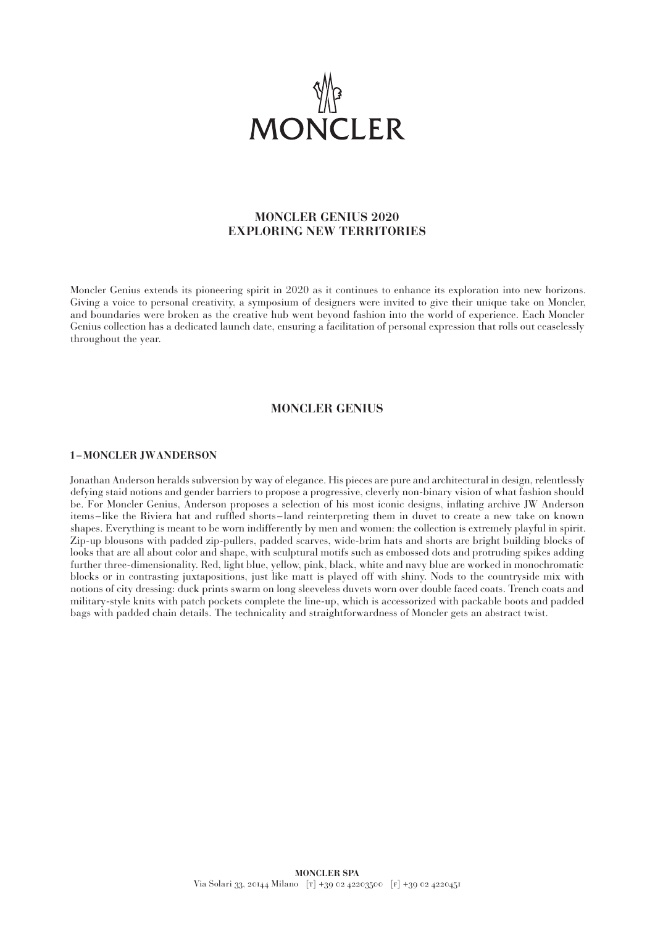

# **MONCLER GENIUS 2020 EXPLORING NEW TERRITORIES**

Moncler Genius extends its pioneering spirit in 2020 as it continues to enhance its exploration into new horizons. Giving a voice to personal creativity, a symposium of designers were invited to give their unique take on Moncler, and boundaries were broken as the creative hub went beyond fashion into the world of experience. Each Moncler Genius collection has a dedicated launch date, ensuring a facilitation of personal expression that rolls out ceaselessly throughout the year.

## **MONCLER GENIUS**

#### **1–MONCLER JWANDERSON**

Jonathan Anderson heralds subversion by way of elegance. His pieces are pure and architectural in design, relentlessly defying staid notions and gender barriers to propose a progressive, cleverly non-binary vision of what fashion should be. For Moncler Genius, Anderson proposes a selection of his most iconic designs, inflating archive JW Anderson items –like the Riviera hat and ruffled shorts–land reinterpreting them in duvet to create a new take on known shapes. Everything is meant to be worn indifferently by men and women: the collection is extremely playful in spirit. Zip-up blousons with padded zip-pullers, padded scarves, wide-brim hats and shorts are bright building blocks of looks that are all about color and shape, with sculptural motifs such as embossed dots and protruding spikes adding further three-dimensionality. Red, light blue, yellow, pink, black, white and navy blue are worked in monochromatic blocks or in contrasting juxtapositions, just like matt is played off with shiny. Nods to the countryside mix with notions of city dressing: duck prints swarm on long sleeveless duvets worn over double faced coats. Trench coats and military-style knits with patch pockets complete the line-up, which is accessorized with packable boots and padded bags with padded chain details. The technicality and straightforwardness of Moncler gets an abstract twist.